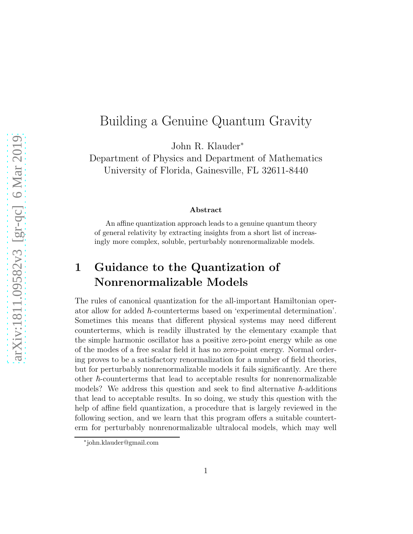# Building a Genuine Quantum Gravity

John R. Klauder<sup>∗</sup>

Department of Physics and Department of Mathematics University of Florida, Gainesville, FL 32611-8440

#### Abstract

An affine quantization approach leads to a genuine quantum theory of general relativity by extracting insights from a short list of increasingly more complex, soluble, perturbably nonrenormalizable models.

# 1 Guidance to the Quantization of Nonrenormalizable Models

The rules of canonical quantization for the all-important Hamiltonian operator allow for added  $\hbar$ -counterterms based on 'experimental determination'. Sometimes this means that different physical systems may need different counterterms, which is readily illustrated by the elementary example that the simple harmonic oscillator has a positive zero-point energy while as one of the modes of a free scalar field it has no zero-point energy. Normal ordering proves to be a satisfactory renormalization for a number of field theories, but for perturbably nonrenormalizable models it fails significantly. Are there other  $\hbar$ -counterterms that lead to acceptable results for nonrenormalizable models? We address this question and seek to find alternative  $\hbar$ -additions that lead to acceptable results. In so doing, we study this question with the help of affine field quantization, a procedure that is largely reviewed in the following section, and we learn that this program offers a suitable counterterm for perturbably nonrenormalizable ultralocal models, which may well

<sup>∗</sup> john.klauder@gmail.com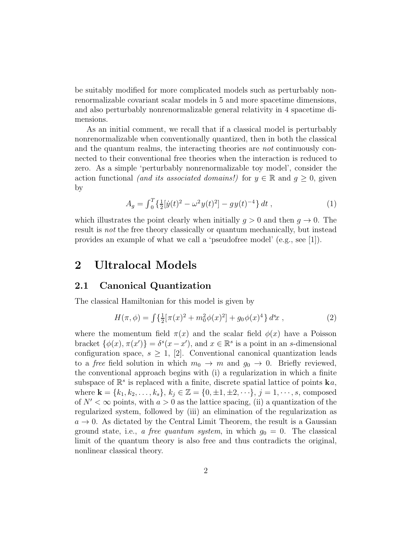be suitably modified for more complicated models such as perturbably nonrenormalizable covariant scalar models in 5 and more spacetime dimensions, and also perturbably nonrenormalizable general relativity in 4 spacetime dimensions.

As an initial comment, we recall that if a classical model is perturbably nonrenormalizable when conventionally quantized, then in both the classical and the quantum realms, the interacting theories are not continuously connected to their conventional free theories when the interaction is reduced to zero. As a simple 'perturbably nonrenormalizable toy model', consider the action functional (and its associated domains!) for  $y \in \mathbb{R}$  and  $g \geq 0$ , given by

$$
A_g = \int_0^T \left\{ \frac{1}{2} [\dot{y}(t)^2 - \omega^2 y(t)^2] - gy(t)^{-4} \right\} dt , \qquad (1)
$$

which illustrates the point clearly when initially  $q > 0$  and then  $q \to 0$ . The result is not the free theory classically or quantum mechanically, but instead provides an example of what we call a 'pseudofree model' (e.g., see [1]).

## 2 Ultralocal Models

#### 2.1 Canonical Quantization

The classical Hamiltonian for this model is given by

$$
H(\pi, \phi) = \int \left\{ \frac{1}{2} [\pi(x)^2 + m_0^2 \phi(x)^2] + g_0 \phi(x)^4 \right\} d^s x , \qquad (2)
$$

where the momentum field  $\pi(x)$  and the scalar field  $\phi(x)$  have a Poisson bracket  $\{\phi(x), \pi(x')\} = \delta^s(x - x')$ , and  $x \in \mathbb{R}^s$  is a point in an s-dimensional configuration space,  $s \geq 1$ , [2]. Conventional canonical quantization leads to a free field solution in which  $m_0 \rightarrow m$  and  $g_0 \rightarrow 0$ . Briefly reviewed, the conventional approach begins with (i) a regularization in which a finite subspace of  $\mathbb{R}^s$  is replaced with a finite, discrete spatial lattice of points  $\mathbf{k}a$ , where  $\mathbf{k} = \{k_1, k_2, \ldots, k_s\}, k_j \in \mathbb{Z} = \{0, \pm 1, \pm 2, \cdots\}, j = 1, \cdots, s$ , composed of  $N' < \infty$  points, with  $a > 0$  as the lattice spacing, (ii) a quantization of the regularized system, followed by (iii) an elimination of the regularization as  $a \rightarrow 0$ . As dictated by the Central Limit Theorem, the result is a Gaussian ground state, i.e., a free quantum system, in which  $g_0 = 0$ . The classical limit of the quantum theory is also free and thus contradicts the original, nonlinear classical theory.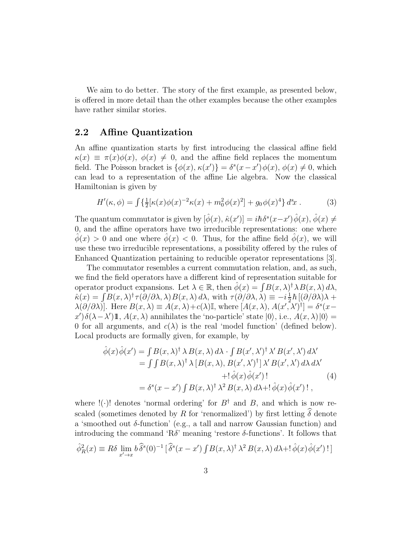We aim to do better. The story of the first example, as presented below, is offered in more detail than the other examples because the other examples have rather similar stories.

### 2.2 Affine Quantization

An affine quantization starts by first introducing the classical affine field  $\kappa(x) \equiv \pi(x)\phi(x), \ \phi(x) \neq 0$ , and the affine field replaces the momentum field. The Poisson bracket is  $\{\phi(x), \kappa(x')\} = \delta^{s}(x-x')\phi(x), \phi(x) \neq 0$ , which can lead to a representation of the affine Lie algebra. Now the classical Hamiltonian is given by

$$
H'(\kappa, \phi) = \int \left\{ \frac{1}{2} [\kappa(x)\phi(x)^{-2}\kappa(x) + m_0^2 \phi(x)^2] + g_0 \phi(x)^4 \right\} d^3x . \tag{3}
$$

The quantum commutator is given by  $[\hat{\phi}(x), \hat{\kappa}(x')] = i\hbar \delta^{s}(x-x')\hat{\phi}(x), \hat{\phi}(x) \neq$ 0, and the affine operators have two irreducible representations: one where  $\phi(x) > 0$  and one where  $\phi(x) < 0$ . Thus, for the affine field  $\phi(x)$ , we will use these two irreducible representations, a possibility offered by the rules of Enhanced Quantization pertaining to reducible operator representations [3].

The commutator resembles a current commutation relation, and, as such, we find the field operators have a different kind of representation suitable for operator product expansions. Let  $\lambda \in \mathbb{R}$ , then  $\hat{\phi}(x) = \int B(x, \lambda)^{\dagger} \lambda B(x, \lambda) d\lambda$ ,  $\hat{\kappa}(x) = \int B(x,\lambda)^{\dagger} \tau(\partial/\partial\lambda,\lambda) B(x,\lambda) d\lambda$ , with  $\tau(\partial/\partial\lambda,\lambda) \equiv -i\frac{1}{2}$  $\frac{1}{2}\hbar\left[(\partial/\partial\lambda)\lambda\right]+$  $\lambda(\partial/\partial\lambda)$ . Here  $B(x,\lambda) \equiv A(x,\lambda) + c(\lambda)\mathbb{I}$ , where  $[A(x,\lambda), A(x',\lambda')^{\dagger}] = \delta^{s}(x-\lambda)$  $x'$ ) $\delta(\lambda - \lambda')$ **1**,  $A(x, \lambda)$  annihilates the 'no-particle' state  $|0\rangle$ , i.e.,  $A(x, \lambda)|0\rangle =$ 0 for all arguments, and  $c(\lambda)$  is the real 'model function' (defined below). Local products are formally given, for example, by

$$
\hat{\phi}(x)\hat{\phi}(x') = \int B(x,\lambda)^{\dagger} \lambda B(x,\lambda) d\lambda \cdot \int B(x',\lambda')^{\dagger} \lambda' B(x',\lambda') d\lambda' \n= \int \int B(x,\lambda)^{\dagger} \lambda [B(x,\lambda), B(x',\lambda')^{\dagger}] \lambda' B(x',\lambda') d\lambda d\lambda' \n+!\hat{\phi}(x)\hat{\phi}(x')! \n(4)\n= \delta^{s}(x - x') \int B(x,\lambda)^{\dagger} \lambda^{2} B(x,\lambda) d\lambda + \hat{\phi}(x)\hat{\phi}(x') ! ,
$$

where  $!(\cdot)!$  denotes 'normal ordering' for  $B^{\dagger}$  and B, and which is now rescaled (sometimes denoted by  $R$  for 'renormalized') by first letting  $\widehat{\delta}$  denote a 'smoothed out  $\delta$ -function' (e.g., a tall and narrow Gaussian function) and introducing the command 'R $\delta$ ' meaning 'restore  $\delta$ -functions'. It follows that

$$
\hat{\phi}_R^2(x) \equiv R\delta \lim_{x' \to x} b\,\hat{\delta}^s(0)^{-1} \left[ \hat{\delta}^s(x - x') \int B(x, \lambda) \, d\lambda \, d\lambda + \, \hat{\phi}(x) \, \hat{\phi}(x') \, \, d\lambda \right]
$$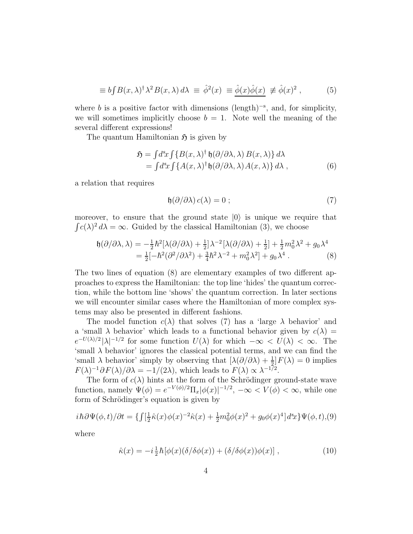$$
\equiv b \int B(x,\lambda)^{\dagger} \lambda^2 B(x,\lambda) d\lambda \equiv \hat{\phi}^2(x) \equiv \hat{\underline{\phi}}(x) \hat{\phi}(x) \neq \hat{\phi}(x)^2 , \quad (5)
$$

where b is a positive factor with dimensions (length)<sup>-s</sup>, and, for simplicity, we will sometimes implicitly choose  $b = 1$ . Note well the meaning of the several different expressions!

The quantum Hamiltonian  $\mathfrak{H}$  is given by

$$
\mathfrak{H} = \int d^s x \int \{ B(x, \lambda)^{\dagger} \mathfrak{h}(\partial/\partial \lambda, \lambda) B(x, \lambda) \} d\lambda \n= \int d^s x \int \{ A(x, \lambda)^{\dagger} \mathfrak{h}(\partial/\partial \lambda, \lambda) A(x, \lambda) \} d\lambda,
$$
\n(6)

a relation that requires

$$
\mathfrak{h}(\partial/\partial\lambda) c(\lambda) = 0 ; \qquad (7)
$$

moreover, to ensure that the ground state  $|0\rangle$  is unique we require that  $\int c(\lambda)^2 d\lambda = \infty$ . Guided by the classical Hamiltonian (3), we choose

$$
\mathfrak{h}(\partial/\partial\lambda,\lambda) = -\frac{1}{2}\hbar^2[\lambda(\partial/\partial\lambda) + \frac{1}{2}]\lambda^{-2}[\lambda(\partial/\partial\lambda) + \frac{1}{2}] + \frac{1}{2}m_0^2\lambda^2 + g_0\lambda^4
$$
  
=  $\frac{1}{2}[-\hbar^2(\partial^2/\partial\lambda^2) + \frac{3}{4}\hbar^2\lambda^{-2} + m_0^2\lambda^2] + g_0\lambda^4$ . (8)

The two lines of equation (8) are elementary examples of two different approaches to express the Hamiltonian: the top line 'hides' the quantum correction, while the bottom line 'shows' the quantum correction. In later sections we will encounter similar cases where the Hamiltonian of more complex systems may also be presented in different fashions.

The model function  $c(\lambda)$  that solves (7) has a 'large  $\lambda$  behavior' and a 'small  $\lambda$  behavior' which leads to a functional behavior given by  $c(\lambda)$  =  $e^{-U(\lambda)/2} |\lambda|^{-1/2}$  for some function  $U(\lambda)$  for which  $-\infty < U(\lambda) < \infty$ . The 'small  $\lambda$  behavior' ignores the classical potential terms, and we can find the 'small  $\lambda$  behavior' simply by observing that  $\left[\lambda(\partial/\partial\lambda) + \frac{1}{2}\right]F(\lambda) = 0$  implies  $F(\lambda)^{-1} \partial F(\lambda) / \partial \lambda = -1/(2\lambda)$ , which leads to  $F(\lambda) \propto \lambda^{-1/2}$ .

The form of  $c(\lambda)$  hints at the form of the Schrödinger ground-state wave function, namely  $\Psi(\phi) = e^{-V(\phi)/2} \Pi_x |\phi(x)|^{-1/2}$ ,  $-\infty < V(\phi) < \infty$ , while one form of Schrödinger's equation is given by

$$
i\hbar \partial \Psi(\phi, t) / \partial t = \{ \int [\frac{1}{2}\hat{\kappa}(x)\phi(x)^{-2}\hat{\kappa}(x) + \frac{1}{2}m_0^2\phi(x)^2 + g_0\phi(x)^4] d^3x \} \Psi(\phi, t), (9)
$$

where

$$
\hat{\kappa}(x) = -i\frac{1}{2}\hbar[\phi(x)(\delta/\delta\phi(x)) + (\delta/\delta\phi(x))\phi(x)],
$$
\n(10)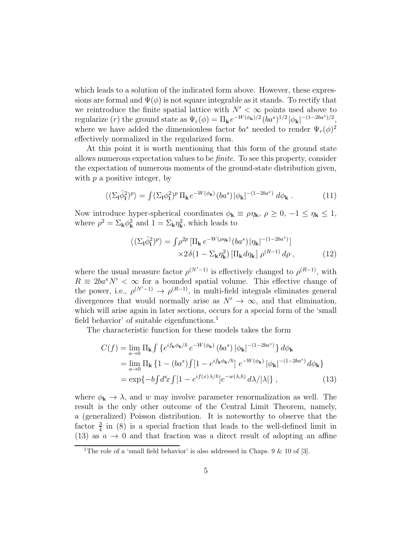which leads to a solution of the indicated form above. However, these expressions are formal and  $\Psi(\phi)$  is not square integrable as it stands. To rectify that we reintroduce the finite spatial lattice with  $N' < \infty$  points used above to regularize (r) the ground state as  $\Psi_r(\phi) = \Pi_{\mathbf{k}} e^{-W(\phi_{\mathbf{k}})/2} (\dot{b}a^s)^{1/2} |\phi_{\mathbf{k}}|^{-(1-2ba^s)/2}$ , where we have added the dimensionless factor  $ba^s$  needed to render  $\Psi_r(\phi)^2$ effectively normalized in the regularized form.

At this point it is worth mentioning that this form of the ground state allows numerous expectation values to be finite. To see this property, consider the expectation of numerous moments of the ground-state distribution given, with  $p$  a positive integer, by

$$
\langle \left( \Sigma_{\mathbf{l}} \hat{\phi}_{\mathbf{l}}^2 \right)^p \rangle = \int (\Sigma_{\mathbf{l}} \phi_{\mathbf{l}}^2)^p \, \Pi_{\mathbf{k}} \, e^{-W(\phi_{\mathbf{k}})} \left( b a^s \right) |\phi_{\mathbf{k}}|^{-(1-2ba^s)} \, d\phi_{\mathbf{k}} \,. \tag{11}
$$

Now introduce hyper-spherical coordinates  $\phi_{\mathbf{k}} \equiv \rho \eta_{\mathbf{k}}$ ,  $\rho \geq 0$ ,  $-1 \leq \eta_{\mathbf{k}} \leq 1$ , where  $\rho^2 = \sum_{\mathbf{k}} \phi_{\mathbf{k}}^2$  and  $1 = \sum_{\mathbf{k}} \eta_{\mathbf{k}}^2$ , which leads to

$$
\langle \left( \Sigma_{\mathbf{l}} \hat{\phi}_{\mathbf{l}}^2 \right)^p \rangle = \int \rho^{2p} \left[ \Pi_{\mathbf{k}} \, e^{-W(\rho \eta_{\mathbf{k}})} \left( b a^s \right) \left| \eta_{\mathbf{k}} \right|^{-(1-2ba^s)} \right] \times 2 \delta(1 - \Sigma_{\mathbf{k}} \eta_{\mathbf{k}}^2) \left[ \Pi_{\mathbf{k}} d \eta_{\mathbf{k}} \right] \rho^{(R-1)} d\rho \,, \tag{12}
$$

where the usual measure factor  $\rho^{(N'-1)}$  is effectively changed to  $\rho^{(R-1)}$ , with  $R \equiv 2ba^s N' < \infty$  for a bounded spatial volume. This effective change of the power, i.e.,  $\rho^{(N'-1)} \to \rho^{(R-1)}$ , in multi-field integrals eliminates general divergences that would normally arise as  $N' \to \infty$ , and that elimination, which will arise again in later sections, occurs for a special form of the 'small field behavior' of suitable eigenfunctions.<sup>1</sup>

The characteristic function for these models takes the form

$$
C(f) = \lim_{a \to 0} \Pi_{\mathbf{k}} \int \left\{ e^{i f_{\mathbf{k}} \phi_{\mathbf{k}} / \hbar} e^{-W(\phi_{\mathbf{k}})} (ba^s) |\phi_{\mathbf{k}}|^{-(1-2ba^s)} \right\} d\phi_{\mathbf{k}}
$$
  
\n
$$
= \lim_{a \to 0} \Pi_{\mathbf{k}} \left\{ 1 - (ba^s) \int [1 - e^{i f_{\mathbf{k}} \phi_{\mathbf{k}} / \hbar}] e^{-W(\phi_{\mathbf{k}})} |\phi_{\mathbf{k}}|^{-(1-2ba^s)} d\phi_{\mathbf{k}} \right\}
$$
  
\n
$$
= \exp \{-b \int d^s x \int [1 - e^{i f(x) \lambda / \hbar}] e^{-w(\lambda, \hbar)} d\lambda / |\lambda| \}, \qquad (13)
$$

where  $\phi_{\mathbf{k}} \to \lambda$ , and w may involve parameter renormalization as well. The result is the only other outcome of the Central Limit Theorem, namely, a (generalized) Poisson distribution. It is noteworthy to observe that the factor  $\frac{3}{4}$  in (8) is a special fraction that leads to the well-defined limit in (13) as  $a \rightarrow 0$  and that fraction was a direct result of adopting an affine

<sup>&</sup>lt;sup>1</sup>The role of a 'small field behavior' is also addressed in Chaps. 9 & 10 of [3].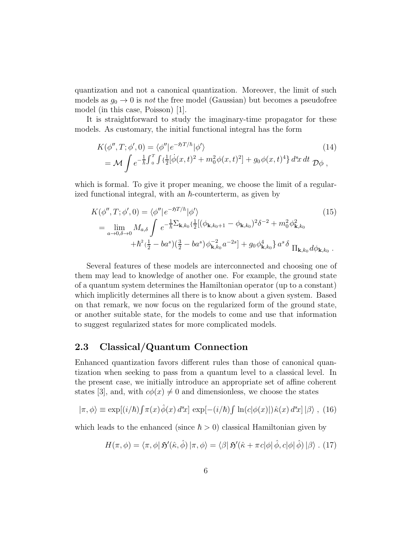quantization and not a canonical quantization. Moreover, the limit of such models as  $g_0 \to 0$  is *not* the free model (Gaussian) but becomes a pseudofree model (in this case, Poisson) [1].

It is straightforward to study the imaginary-time propagator for these models. As customary, the initial functional integral has the form

$$
K(\phi'', T; \phi', 0) = \langle \phi'' | e^{-\mathfrak{H} T/\hbar} | \phi' \rangle
$$
\n
$$
= \mathcal{M} \int e^{-\frac{1}{\hbar} \int_0^T \int {\frac{1}{2} [\dot{\phi}(x, t)^2 + m_0^2 \phi(x, t)^2]}} + g_0 \phi(x, t)^4 \, dx \, dt \, D\phi \,,
$$
\n(14)

which is formal. To give it proper meaning, we choose the limit of a regularized functional integral, with an  $\hbar$ -counterterm, as given by

$$
K(\phi'', T; \phi', 0) = \langle \phi'' | e^{-\mathfrak{H}T/\hbar} | \phi' \rangle
$$
\n
$$
= \lim_{a \to 0, \delta \to 0} M_{a,\delta} \int e^{-\frac{1}{\hbar} \sum_{\mathbf{k},k_0} {\{\frac{1}{2} [(\phi_{\mathbf{k},k_0+1} - \phi_{\mathbf{k},k_0})^2 \delta^{-2} + m_0^2 \phi_{\mathbf{k},k_0}^2 \}} + \hbar^2 (\frac{1}{2} - ba^s) (\frac{3}{2} - ba^s) \phi_{\mathbf{k},k_0}^{-2} a^{-2s} + g_0 \phi_{\mathbf{k},k_0}^4 \} a^s \delta_{\prod_{\mathbf{k},k_0} d\phi_{\mathbf{k},k_0}}.
$$
\n(15)

Several features of these models are interconnected and choosing one of them may lead to knowledge of another one. For example, the ground state of a quantum system determines the Hamiltonian operator (up to a constant) which implicitly determines all there is to know about a given system. Based on that remark, we now focus on the regularized form of the ground state, or another suitable state, for the models to come and use that information to suggest regularized states for more complicated models.

### 2.3 Classical/Quantum Connection

Enhanced quantization favors different rules than those of canonical quantization when seeking to pass from a quantum level to a classical level. In the present case, we initially introduce an appropriate set of affine coherent states [3], and, with  $c\phi(x) \neq 0$  and dimensionless, we choose the states

$$
|\pi,\phi\rangle \equiv \exp[(i/\hbar)\int \pi(x)\hat{\phi}(x)\,d^s x] \, \exp[-(i/\hbar)\int \ln(c|\phi(x)|)\hat{\kappa}(x)\,d^s x] \, |\beta\rangle \;, \tag{16}
$$

which leads to the enhanced (since  $\hbar > 0$ ) classical Hamiltonian given by

$$
H(\pi, \phi) = \langle \pi, \phi | \mathfrak{H}'(\hat{\kappa}, \hat{\phi}) | \pi, \phi \rangle = \langle \beta | \mathfrak{H}'(\hat{\kappa} + \pi c | \phi | \hat{\phi}, c | \phi | \hat{\phi}) | \beta \rangle . (17)
$$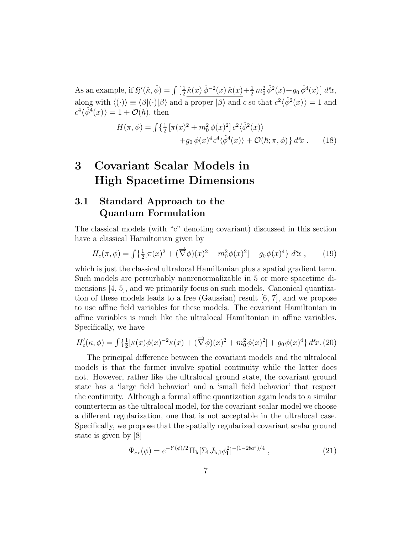As an example, if  $\mathfrak{H}'(\hat{\kappa}, \hat{\phi}) = \int \left[\frac{1}{2}\right]$  $\frac{1}{2}\hat{\kappa}(x)\,\hat{\phi}^{-2}(x)\,\hat{\kappa}(x)+\frac{1}{2}\,m_0^2\,\hat{\phi}^2(x)+g_0\,\hat{\phi}^4(x)\,]\;d^3\!x,$ along with  $\langle (\cdot) \rangle \equiv \langle \beta | (\cdot) | \beta \rangle$  and a proper  $|\beta \rangle$  and c so that  $c^2 \langle \hat{\phi}^2(x) \rangle = 1$  and  $c^4 \langle \hat{\phi}^4(x) \rangle = 1 + \mathcal{O}(\hbar)$ , then

$$
H(\pi, \phi) = \int \{ \frac{1}{2} \left[ \pi(x)^2 + m_0^2 \phi(x)^2 \right] c^2 \langle \hat{\phi}^2(x) \rangle + g_0 \phi(x)^4 c^4 \langle \hat{\phi}^4(x) \rangle + \mathcal{O}(\hbar; \pi, \phi) \} d^s x \ . \tag{18}
$$

# 3 Covariant Scalar Models in High Spacetime Dimensions

## 3.1 Standard Approach to the Quantum Formulation

The classical models (with "c" denoting covariant) discussed in this section have a classical Hamiltonian given by

$$
H_c(\pi, \phi) = \int \{ \frac{1}{2} [\pi(x)^2 + (\overrightarrow{\nabla}\phi)(x)^2 + m_0^2 \phi(x)^2] + g_0 \phi(x)^4 \} d^s x , \qquad (19)
$$

which is just the classical ultralocal Hamiltonian plus a spatial gradient term. Such models are perturbably nonrenormalizable in 5 or more spacetime dimensions [4, 5], and we primarily focus on such models. Canonical quantization of these models leads to a free (Gaussian) result [6, 7], and we propose to use affine field variables for these models. The covariant Hamiltonian in affine variables is much like the ultralocal Hamiltonian in affine variables. Specifically, we have

$$
H'_{c}(\kappa,\phi) = \int \left\{ \frac{1}{2} [\kappa(x)\phi(x)^{-2}\kappa(x) + (\overrightarrow{\nabla}\phi)(x)^{2} + m_{0}^{2}\phi(x)^{2}] + g_{0}\phi(x)^{4} \right\} d^{s}x.(20)
$$

The principal difference between the covariant models and the ultralocal models is that the former involve spatial continuity while the latter does not. However, rather like the ultralocal ground state, the covariant ground state has a 'large field behavior' and a 'small field behavior' that respect the continuity. Although a formal affine quantization again leads to a similar counterterm as the ultralocal model, for the covariant scalar model we choose a different regularization, one that is not acceptable in the ultralocal case. Specifically, we propose that the spatially regularized covariant scalar ground state is given by [8]

$$
\Psi_{cr}(\phi) = e^{-Y(\phi)/2} \Pi_{\mathbf{k}} [\Sigma_{\mathbf{l}} J_{\mathbf{k},\mathbf{l}} \phi_{\mathbf{l}}^2]^{-(1-2ba^s)/4} , \qquad (21)
$$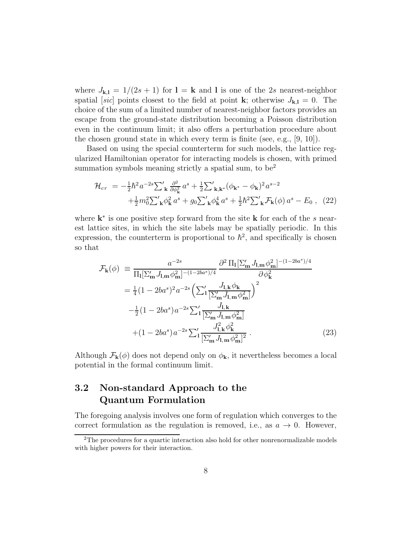where  $J_{k,l} = 1/(2s+1)$  for  $l = k$  and l is one of the 2s nearest-neighbor spatial [sic] points closest to the field at point **k**; otherwise  $J_{k,l} = 0$ . The choice of the sum of a limited number of nearest-neighbor factors provides an escape from the ground-state distribution becoming a Poisson distribution even in the continuum limit; it also offers a perturbation procedure about the chosen ground state in which every term is finite (see, e.g., [9, 10]).

Based on using the special counterterm for such models, the lattice regularized Hamiltonian operator for interacting models is chosen, with primed summation symbols meaning strictly a spatial sum, to be<sup>2</sup>

$$
\mathcal{H}_{cr} = -\frac{1}{2}\hbar^2 a^{-2s} \sum_{\mathbf{k}}' \frac{\partial^2}{\partial \phi_{\mathbf{k}}^2} a^s + \frac{1}{2} \sum_{\mathbf{k}, \mathbf{k}^*} '(\phi_{\mathbf{k}^*} - \phi_{\mathbf{k}})^2 a^{s-2} \n+ \frac{1}{2} m_0^2 \sum_{\mathbf{k}}' \phi_{\mathbf{k}}^2 a^s + g_0 \sum_{\mathbf{k}}' \phi_{\mathbf{k}}^4 a^s + \frac{1}{2} \hbar^2 \sum_{\mathbf{k}}' \mathcal{F}_{\mathbf{k}}(\phi) a^s - E_0 ,
$$
 (22)

where  $\mathbf{k}^*$  is one positive step forward from the site **k** for each of the s nearest lattice sites, in which the site labels may be spatially periodic. In this expression, the counterterm is proportional to  $\hbar^2$ , and specifically is chosen so that

$$
\mathcal{F}_{\mathbf{k}}(\phi) \equiv \frac{a^{-2s}}{\Pi_{\mathbf{l}}[\Sigma'_{\mathbf{m}} J_{\mathbf{l}, \mathbf{m}} \phi_{\mathbf{m}}^2]^{-(1-2ba^s)/4}} \frac{\partial^2 \Pi_{\mathbf{l}}[\Sigma'_{\mathbf{m}} J_{\mathbf{l}, \mathbf{m}} \phi_{\mathbf{m}}^2]^{-(1-2ba^s)/4}}{\partial \phi_{\mathbf{k}}^2}
$$
  
\n
$$
= \frac{1}{4} (1 - 2ba^s)^2 a^{-2s} \left( \sum_{1}^{\prime} \frac{J_{\mathbf{l}, \mathbf{k}} \phi_{\mathbf{k}}}{[\Sigma'_{\mathbf{m}} J_{\mathbf{l}, \mathbf{m}} \phi_{\mathbf{m}}^2]} \right)^2
$$
  
\n
$$
-\frac{1}{2} (1 - 2ba^s) a^{-2s} \sum_{1}^{\prime} \frac{J_{\mathbf{l}, \mathbf{k}}}{[\Sigma'_{\mathbf{m}} J_{\mathbf{l}, \mathbf{m}} \phi_{\mathbf{m}}^2]}
$$
  
\n
$$
+ (1 - 2ba^s) a^{-2s} \sum_{1}^{\prime} \frac{J_{\mathbf{l}, \mathbf{k}}^2 \phi_{\mathbf{k}}^2}{[\Sigma'_{\mathbf{m}} J_{\mathbf{l}, \mathbf{m}} \phi_{\mathbf{m}}^2]^2}. \tag{23}
$$

Although  $\mathcal{F}_{k}(\phi)$  does not depend only on  $\phi_{k}$ , it nevertheless becomes a local potential in the formal continuum limit.

## 3.2 Non-standard Approach to the Quantum Formulation

The foregoing analysis involves one form of regulation which converges to the correct formulation as the regulation is removed, i.e., as  $a \to 0$ . However,

<sup>2</sup>The procedures for a quartic interaction also hold for other nonrenormalizable models with higher powers for their interaction.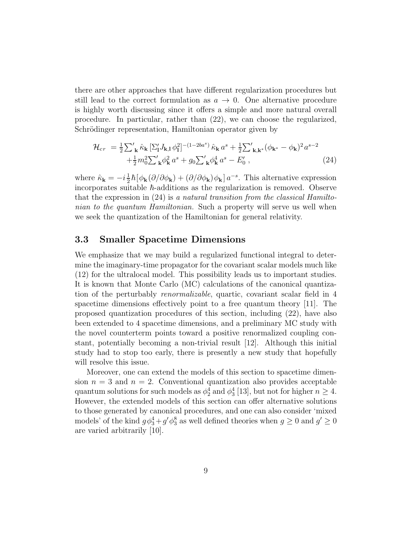there are other approaches that have different regularization procedures but still lead to the correct formulation as  $a \to 0$ . One alternative procedure is highly worth discussing since it offers a simple and more natural overall procedure. In particular, rather than (22), we can choose the regularized, Schrödinger representation, Hamiltonian operator given by

$$
\mathcal{H}_{cr} = \frac{1}{2} \sum_{\mathbf{k}}' \hat{\kappa}_{\mathbf{k}} \left[ \sum_{\mathbf{l}}' J_{\mathbf{k},\mathbf{l}} \phi_{\mathbf{l}}^2 \right]^{-(1-2ba^s)} \hat{\kappa}_{\mathbf{k}} a^s + \frac{1}{2} \sum_{\mathbf{k},\mathbf{k}^*} ' (\phi_{\mathbf{k}^*} - \phi_{\mathbf{k}})^2 a^{s-2} + \frac{1}{2} m_0^2 \sum_{\mathbf{k}}' \phi_{\mathbf{k}}^2 a^s + g_0 \sum_{\mathbf{k}}' \phi_{\mathbf{k}}^4 a^s - E_0',
$$
\n(24)

where  $\hat{\kappa}_{\mathbf{k}} = -i\frac{1}{2}$  $\frac{1}{2}\hbar[\phi_{\bf k}(\partial/\partial\phi_{\bf k})+(\partial/\partial\phi_{\bf k})\phi_{\bf k}]\,a^{-s}$ . This alternative expression incorporates suitable  $\hbar$ -additions as the regularization is removed. Observe that the expression in (24) is a natural transition from the classical Hamiltonian to the quantum Hamiltonian. Such a property will serve us well when we seek the quantization of the Hamiltonian for general relativity.

#### 3.3 Smaller Spacetime Dimensions

We emphasize that we may build a regularized functional integral to determine the imaginary-time propagator for the covariant scalar models much like (12) for the ultralocal model. This possibility leads us to important studies. It is known that Monte Carlo (MC) calculations of the canonical quantization of the perturbably renormalizable, quartic, covariant scalar field in 4 spacetime dimensions effectively point to a free quantum theory [11]. The proposed quantization procedures of this section, including (22), have also been extended to 4 spacetime dimensions, and a preliminary MC study with the novel counterterm points toward a positive renormalized coupling constant, potentially becoming a non-trivial result [12]. Although this initial study had to stop too early, there is presently a new study that hopefully will resolve this issue.

Moreover, one can extend the models of this section to spacetime dimension  $n = 3$  and  $n = 2$ . Conventional quantization also provides acceptable quantum solutions for such models as  $\phi_2^4$  and  $\phi_3^4$  [13], but not for higher  $n \geq 4$ . However, the extended models of this section can offer alternative solutions to those generated by canonical procedures, and one can also consider 'mixed models' of the kind  $g\phi_3^4+g'\phi_3^8$  as well defined theories when  $g\geq 0$  and  $g'\geq 0$ are varied arbitrarily [10].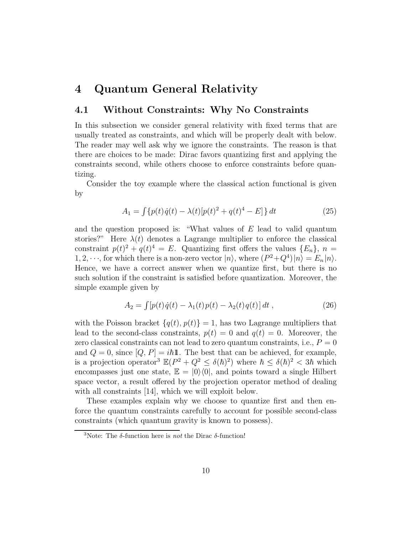## 4 Quantum General Relativity

### 4.1 Without Constraints: Why No Constraints

In this subsection we consider general relativity with fixed terms that are usually treated as constraints, and which will be properly dealt with below. The reader may well ask why we ignore the constraints. The reason is that there are choices to be made: Dirac favors quantizing first and applying the constraints second, while others choose to enforce constraints before quantizing.

Consider the toy example where the classical action functional is given by

$$
A_1 = \int \{p(t)\dot{q}(t) - \lambda(t)[p(t)^2 + q(t)^4 - E]\} dt
$$
 (25)

and the question proposed is: "What values of  $E$  lead to valid quantum stories?" Here  $\lambda(t)$  denotes a Lagrange multiplier to enforce the classical constraint  $p(t)^2 + q(t)^4 = E$ . Quantizing first offers the values  $\{E_n\}, n =$ 1, 2,  $\cdots$ , for which there is a non-zero vector  $|n\rangle$ , where  $(P^2+Q^4)|n\rangle = E_n|n\rangle$ . Hence, we have a correct answer when we quantize first, but there is no such solution if the constraint is satisfied before quantization. Moreover, the simple example given by

$$
A_2 = \int [p(t)\dot{q}(t) - \lambda_1(t)p(t) - \lambda_2(t)q(t)] dt , \qquad (26)
$$

with the Poisson bracket  $\{q(t), p(t)\} = 1$ , has two Lagrange multipliers that lead to the second-class constraints,  $p(t) = 0$  and  $q(t) = 0$ . Moreover, the zero classical constraints can not lead to zero quantum constraints, i.e.,  $P = 0$ and  $Q = 0$ , since  $[Q, P] = i\hbar \mathbb{1}$ . The best that can be achieved, for example, is a projection operator<sup>3</sup>  $\mathbb{E}(P^2 + Q^2 \leq \delta(\hbar)^2)$  where  $\hbar \leq \delta(\hbar)^2 < 3\hbar$  which encompasses just one state,  $\mathbb{E} = |0\rangle\langle 0|$ , and points toward a single Hilbert space vector, a result offered by the projection operator method of dealing with all constraints [14], which we will exploit below.

These examples explain why we choose to quantize first and then enforce the quantum constraints carefully to account for possible second-class constraints (which quantum gravity is known to possess).

<sup>&</sup>lt;sup>3</sup>Note: The  $\delta$ -function here is *not* the Dirac  $\delta$ -function!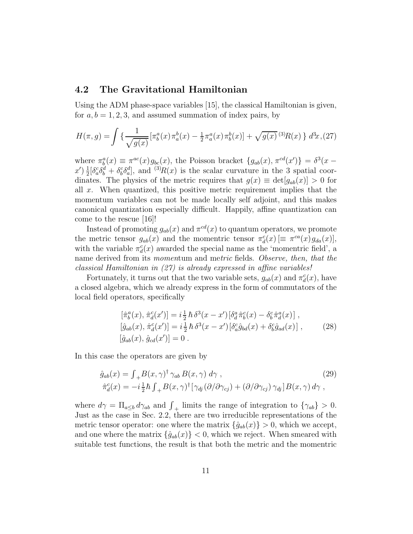#### 4.2 The Gravitational Hamiltonian

Using the ADM phase-space variables [15], the classical Hamiltonian is given, for  $a, b = 1, 2, 3$ , and assumed summation of index pairs, by

$$
H(\pi, g) = \int \left\{ \frac{1}{\sqrt{g(x)}} \left[ \pi_b^a(x) \pi_a^b(x) - \frac{1}{2} \pi_a^a(x) \pi_b^b(x) \right] + \sqrt{g(x)} \, ^{(3)}R(x) \right\} \, d^3x, \tag{27}
$$

where  $\pi_b^a(x) \equiv \pi^{ac}(x) g_{bc}(x)$ , the Poisson bracket  $\{g_{ab}(x), \pi^{cd}(x')\} = \delta^3(x$  $x^{\prime}$ )  $\frac{1}{2}$  $\frac{1}{2}[\delta_a^c \delta_b^d + \delta_b^c \delta_a^d]$ , and  $\frac{(3)}{R(x)}$  is the scalar curvature in the 3 spatial coordinates. The physics of the metric requires that  $g(x) \equiv det[g_{ab}(x)] > 0$  for all x. When quantized, this positive metric requirement implies that the momentum variables can not be made locally self adjoint, and this makes canonical quantization especially difficult. Happily, affine quantization can come to the rescue [16]!

Instead of promoting  $g_{ab}(x)$  and  $\pi^{cd}(x)$  to quantum operators, we promote the metric tensor  $g_{ab}(x)$  and the momentric tensor  $\pi_d^c(x) \equiv \pi^{ca}(x) g_{da}(x)$ , with the variable  $\pi_d^c(x)$  awarded the special name as the 'momentric field', a name derived from its momentum and metric fields. Observe, then, that the classical Hamiltonian in (27) is already expressed in affine variables!

Fortunately, it turns out that the two variable sets,  $g_{ab}(x)$  and  $\pi_d^c(x)$ , have a closed algebra, which we already express in the form of commutators of the local field operators, specifically

$$
[\hat{\pi}_b^a(x), \hat{\pi}_d^c(x')] = i \frac{1}{2} \hbar \delta^3(x - x') [\delta_d^a \hat{\pi}_b^c(x) - \delta_b^c \hat{\pi}_d^a(x)] ,[\hat{g}_{ab}(x), \hat{\pi}_d^c(x')] = i \frac{1}{2} \hbar \delta^3(x - x') [\delta_a^c \hat{g}_{bd}(x) + \delta_b^c \hat{g}_{ad}(x)] , \qquad (28)
$$
  

$$
[\hat{g}_{ab}(x), \hat{g}_{cd}(x')] = 0 .
$$

In this case the operators are given by

$$
\hat{g}_{ab}(x) = \int_{+}^{}B(x,\gamma)^{\dagger} \gamma_{ab} B(x,\gamma) d\gamma ,
$$
\n
$$
\hat{\pi}_d^c(x) = -i\frac{1}{2}\hbar \int_{+}^{}B(x,\gamma)^{\dagger} [\gamma_{dj}(\partial/\partial\gamma_{cj}) + (\partial/\partial\gamma_{cj})\gamma_{dj}]B(x,\gamma) d\gamma ,
$$
\n(29)

where  $d\gamma = \prod_{a \leq b} d\gamma_{ab}$  and  $\int_{+}$  limits the range of integration to  $\{\gamma_{ab}\} > 0$ . Just as the case in Sec. 2.2, there are two irreducible representations of the metric tensor operator: one where the matrix  $\{\hat{g}_{ab}(x)\} > 0$ , which we accept, and one where the matrix  $\{\hat{g}_{ab}(x)\} < 0$ , which we reject. When smeared with suitable test functions, the result is that both the metric and the momentric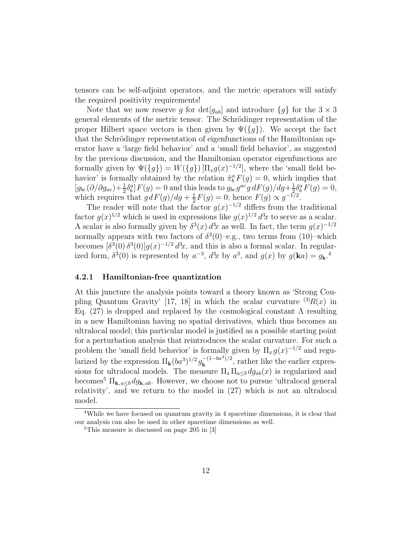tensors can be self-adjoint operators, and the metric operators will satisfy the required positivity requirements!

Note that we now reserve g for  $\det[g_{ab}]$  and introduce  $\{g\}$  for the  $3 \times 3$ general elements of the metric tensor. The Schrödinger representation of the proper Hilbert space vectors is then given by  $\Psi({g})$ . We accept the fact that the Schrödinger representation of eigenfunctions of the Hamiltonian operator have a 'large field behavior' and a 'small field behavior', as suggested by the previous discussion, and the Hamiltonian operator eigenfunctions are formally given by  $\Psi({g}) = W({g}) [\Pi_x g(x)^{-1/2}]$ , where the 'small field behavior' is formally obtained by the relation  $\hat{\pi}_b^a F(g) = 0$ , which implies that  $[g_{bc}(\partial/\partial g_{ac})+\frac{1}{2}\delta^a_b]F(g)=0$  and this leads to  $g_{bc}g^{ac}g\,dF(g)/dg+\frac{1}{2}$  $\frac{1}{2} \delta^a_b F(g) = 0,$ which requires that  $gdF(g)/dg + \frac{1}{2}$  $\frac{1}{2}F(g) = 0$ ; hence  $F(g) \propto g^{-1/2}$ .

The reader will note that the factor  $g(x)^{-1/2}$  differs from the traditional factor  $g(x)^{1/2}$  which is used in expressions like  $g(x)^{1/2} d^3x$  to serve as a scalar. A scalar is also formally given by  $\delta^3(x) d^3x$  as well. In fact, the term  $g(x)^{-1/2}$ normally appears with two factors of  $\delta^3(0)$ -e.g., two terms from (10)-which becomes  $\left[\delta^3(0)\,\delta^3(0)\right]g(x)^{-1/2}d^3x$ , and this is also a formal scalar. In regularized form,  $\delta^3(0)$  is represented by  $a^{-3}$ ,  $d^3x$  by  $a^3$ , and  $g(x)$  by  $g(\mathbf{k}a) = g_{\mathbf{k}}^4$ .

#### 4.2.1 Hamiltonian-free quantization

At this juncture the analysis points toward a theory known as 'Strong Coupling Quantum Gravity' [17, 18] in which the scalar curvature  ${}^{(3)}R(x)$  in Eq. (27) is dropped and replaced by the cosmological constant  $\Lambda$  resulting in a new Hamiltonian having no spatial derivatives, which thus becomes an ultralocal model; this particular model is justified as a possible starting point for a perturbation analysis that reintroduces the scalar curvature. For such a problem the 'small field behavior' is formally given by  $\Pi_x g(x)^{-1/2}$  and regularized by the expression  $\Pi_{\mathbf{k}}(ba^3)^{1/2}g_{\mathbf{k}}^{-(1-ba^3)/2}$ , rather like the earlier expressions for ultralocal models. The measure  $\Pi_x \Pi_{a \leq b} dg_{ab}(x)$  is regularized and becomes<sup>5</sup>  $\Pi_{\mathbf{k}, a \leq b} dg_{\mathbf{k}, ab}$ . However, we choose not to pursue 'ultralocal general relativity', and we return to the model in (27) which is not an ultralocal model.

<sup>&</sup>lt;sup>4</sup>While we have focused on quantum gravity in 4 spacetime dimensions, it is clear that our analysis can also be used in other spacetime dimensions as well.

<sup>5</sup>This measure is discussed on page 205 in [3]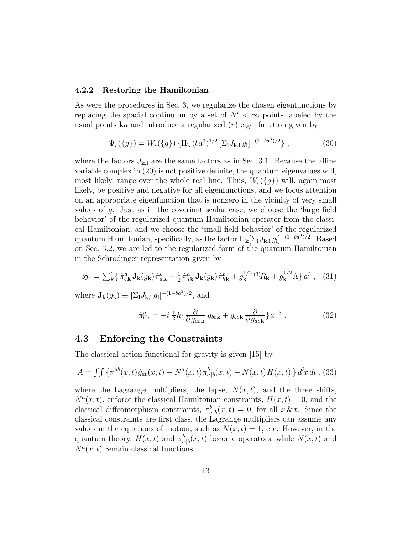#### 4.2.2 Restoring the Hamiltonian

As were the procedures in Sec. 3, we regularize the chosen eigenfunctions by replacing the spacial continuum by a set of  $N' < \infty$  points labeled by the usual points  $\mathbf{k}a$  and introduce a regularized  $(r)$  eigenfunction given by

$$
\Psi_r(\{g\}) = W_r(\{g\}) \left\{ \Pi_\mathbf{k} (ba^3)^{1/2} \left[ \Sigma_\mathbf{l} J_{\mathbf{k},\mathbf{l}} g_\mathbf{l} \right]^{-(1-ba^3)/2} \right\},\tag{30}
$$

where the factors  $J_{k,l}$  are the same factors as in Sec. 3.1. Because the affine variable complex in (20) is not positive definite, the quantum eigenvalues will, most likely, range over the whole real line. Thus,  $W_r({g})$  will, again most likely, be positive and negative for all eigenfunctions, and we focus attention on an appropriate eigenfunction that is nonzero in the vicinity of very small values of g. Just as in the covariant scalar case, we choose the 'large field behavior' of the regularized quantum Hamiltonian operator from the classical Hamiltonian, and we choose the 'small field behavior' of the regularized quantum Hamiltonian, specifically, as the factor  $\Pi_{\mathbf{k}}[\Sigma_{\mathbf{l}} J_{\mathbf{k},\mathbf{l}} g_{\mathbf{l}}]^{-(1-ba^3)/2}$ . Based on Sec. 3.2, we are led to the regularized form of the quantum Hamiltonian in the Schrödinger representation given by

$$
\mathfrak{H}_r = \sum_{\mathbf{k}}' \left\{ \hat{\pi}_{b\mathbf{k}}^a \mathbf{J}_{\mathbf{k}}(g_{\mathbf{k}}) \hat{\pi}_{a\mathbf{k}}^b - \frac{1}{2} \hat{\pi}_{a\mathbf{k}}^a \mathbf{J}_{\mathbf{k}}(g_{\mathbf{k}}) \hat{\pi}_{b\mathbf{k}}^b + g_{\mathbf{k}}^{1/2} \left(3\right) R_{\mathbf{k}} + g_{\mathbf{k}}^{1/2} \Lambda \right\} a^3 \,, \tag{31}
$$

where  $\mathbf{J}_{\mathbf{k}}(g_{\mathbf{k}}) \equiv [\Sigma_{\mathbf{l}} J_{\mathbf{k},\mathbf{l}} g_{\mathbf{l}}]^{-(1-ba^3)/2}$ , and

$$
\hat{\pi}_{b\mathbf{k}}^a = -i\,\frac{1}{2}\hbar\{\frac{\partial}{\partial g_{ac\mathbf{k}}}g_{bc\mathbf{k}} + g_{bc\mathbf{k}}\frac{\partial}{\partial g_{ac\mathbf{k}}}\}a^{-3}.
$$
\n(32)

#### 4.3 Enforcing the Constraints

The classical action functional for gravity is given [15] by

$$
A = \int \int \{ \pi^{ab}(x, t) \dot{g}_{ab}(x, t) - N^a(x, t) \pi^b_{a|b}(x, t) - N(x, t) H(x, t) \} d^3x dt ,
$$
 (33)

where the Lagrange multipliers, the lapse,  $N(x, t)$ , and the three shifts,  $N^a(x,t)$ , enforce the classical Hamiltonian constraints,  $H(x,t) = 0$ , and the classical diffeomorphism constraints,  $\pi_{a|b}^b(x,t) = 0$ , for all  $x \& t$ . Since the classical constraints are first class, the Lagrange multipliers can assume any values in the equations of motion, such as  $N(x,t) = 1$ , etc. However, in the quantum theory,  $H(x,t)$  and  $\pi_{a|b}^b(x,t)$  become operators, while  $N(x,t)$  and  $N^a(x,t)$  remain classical functions.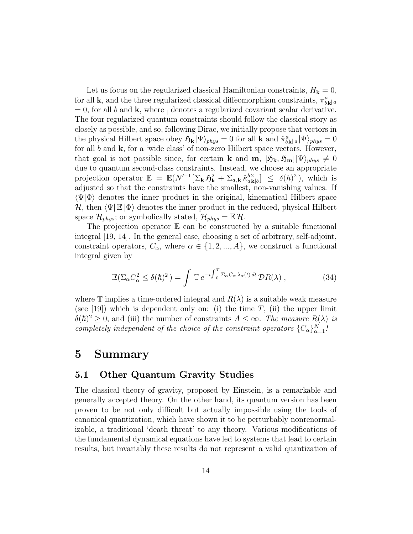Let us focus on the regularized classical Hamiltonian constraints,  $H_{\mathbf{k}} = 0$ , for all **k**, and the three regularized classical diffeomorphism constraints,  $\pi^a_{b\mathbf{k}|a}$  $= 0$ , for all b and **k**, where  $\vert$  denotes a regularized covariant scalar derivative. The four regularized quantum constraints should follow the classical story as closely as possible, and so, following Dirac, we initially propose that vectors in the physical Hilbert space obey  $\mathfrak{H}_{\mathbf{k}} |\Psi\rangle_{phys} = 0$  for all  $\mathbf{k}$  and  $\hat{\pi}_{b\mathbf{k}|a}^a |\Psi\rangle_{phys} = 0$ for all  $b$  and  $k$ , for a 'wide class' of non-zero Hilbert space vectors. However, that goal is not possible since, for certain **k** and **m**,  $[\mathfrak{H}_{k}, \mathfrak{H}_{m}](\Psi)_{phys} \neq 0$ due to quantum second-class constraints. Instead, we choose an appropriate projection operator  $\mathbb{E} = \mathbb{E}(N^{-1}[\Sigma_{\mathbf{k}} \mathfrak{H}_{\mathbf{k}}^2 + \Sigma_{a,\mathbf{k}} \hat{\kappa}_{a\mathbf{k}|b}^{b2}] \leq \delta(\hbar)^2$ , which is adjusted so that the constraints have the smallest, non-vanishing values. If  $\langle \Psi | \Phi \rangle$  denotes the inner product in the original, kinematical Hilbert space  $\mathcal{H}$ , then  $\langle \Psi | \mathbb{E} | \Phi \rangle$  denotes the inner product in the reduced, physical Hilbert space  $\mathcal{H}_{phys}$ ; or symbolically stated,  $\mathcal{H}_{phys} = \mathbb{E} \mathcal{H}$ .

The projection operator  $E$  can be constructed by a suitable functional integral [19, 14]. In the general case, choosing a set of arbitrary, self-adjoint, constraint operators,  $C_{\alpha}$ , where  $\alpha \in \{1, 2, ..., A\}$ , we construct a functional integral given by

$$
\mathbb{E}(\Sigma_{\alpha}C_{\alpha}^2 \le \delta(\hbar)^2) = \int \mathbb{T} e^{-i \int_0^T \Sigma_{\alpha}C_{\alpha}\lambda_{\alpha}(t) dt} \mathcal{D}R(\lambda) , \qquad (34)
$$

where T implies a time-ordered integral and  $R(\lambda)$  is a suitable weak measure (see [19]) which is dependent only on: (i) the time  $T$ , (ii) the upper limit  $\delta(\hbar)^2 \geq 0$ , and (iii) the number of constraints  $A \leq \infty$ . The measure  $R(\lambda)$  is completely independent of the choice of the constraint operators  ${C_{\alpha}}_{\alpha=1}^{N}$ !

## 5 Summary

### 5.1 Other Quantum Gravity Studies

The classical theory of gravity, proposed by Einstein, is a remarkable and generally accepted theory. On the other hand, its quantum version has been proven to be not only difficult but actually impossible using the tools of canonical quantization, which have shown it to be perturbably nonrenormalizable, a traditional 'death threat' to any theory. Various modifications of the fundamental dynamical equations have led to systems that lead to certain results, but invariably these results do not represent a valid quantization of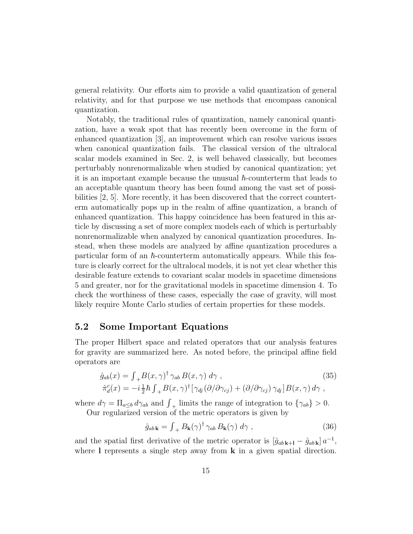general relativity. Our efforts aim to provide a valid quantization of general relativity, and for that purpose we use methods that encompass canonical quantization.

Notably, the traditional rules of quantization, namely canonical quantization, have a weak spot that has recently been overcome in the form of enhanced quantization [3], an improvement which can resolve various issues when canonical quantization fails. The classical version of the ultralocal scalar models examined in Sec. 2, is well behaved classically, but becomes perturbably nonrenormalizable when studied by canonical quantization; yet it is an important example because the unusual  $\hbar$ -counterterm that leads to an acceptable quantum theory has been found among the vast set of possibilities [2, 5]. More recently, it has been discovered that the correct counterterm automatically pops up in the realm of affine quantization, a branch of enhanced quantization. This happy coincidence has been featured in this article by discussing a set of more complex models each of which is perturbably nonrenormalizable when analyzed by canonical quantization procedures. Instead, when these models are analyzed by affine quantization procedures a particular form of an  $\hbar$ -counterterm automatically appears. While this feature is clearly correct for the ultralocal models, it is not yet clear whether this desirable feature extends to covariant scalar models in spacetime dimensions 5 and greater, nor for the gravitational models in spacetime dimension 4. To check the worthiness of these cases, especially the case of gravity, will most likely require Monte Carlo studies of certain properties for these models.

#### 5.2 Some Important Equations

The proper Hilbert space and related operators that our analysis features for gravity are summarized here. As noted before, the principal affine field operators are

$$
\hat{g}_{ab}(x) = \int_{+}^{}B(x,\gamma)^{\dagger} \gamma_{ab} B(x,\gamma) d\gamma ,
$$
\n
$$
\hat{\pi}_d^c(x) = -i\frac{1}{2}\hbar \int_{+}^{}B(x,\gamma)^{\dagger} [\gamma_{dj}(\partial/\partial\gamma_{cj}) + (\partial/\partial\gamma_{cj}) \gamma_{dj}]B(x,\gamma) d\gamma ,
$$
\n(35)

where  $d\gamma = \prod_{a \leq b} d\gamma_{ab}$  and  $\int_{+\infty}$  limits the range of integration to  $\{\gamma_{ab}\} > 0$ . Our regularized version of the metric operators is given by

$$
\hat{g}_{ab\mathbf{k}} = \int_{+}^{ } B_{\mathbf{k}}(\gamma)^{\dagger} \gamma_{ab} B_{\mathbf{k}}(\gamma) \, d\gamma \,, \tag{36}
$$

and the spatial first derivative of the metric operator is  $[\hat{g}_{ab\,\mathbf{k+1}} - \hat{g}_{ab\,\mathbf{k}}] a^{-1}$ , where I represents a single step away from  $\bf{k}$  in a given spatial direction.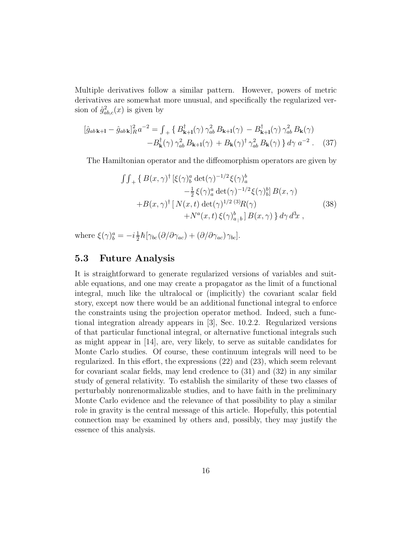Multiple derivatives follow a similar pattern. However, powers of metric derivatives are somewhat more unusual, and specifically the regularized version of  $\hat{g}_{ab,c}^2(x)$  is given by

$$
[\hat{g}_{ab\mathbf{k}+1} - \hat{g}_{ab\mathbf{k}}]_R^2 a^{-2} = \int_{+} \{ B_{\mathbf{k}+1}^{\dagger}(\gamma) \gamma_{ab}^2 B_{\mathbf{k}+1}(\gamma) - B_{\mathbf{k}+1}^{\dagger}(\gamma) \gamma_{ab}^2 B_{\mathbf{k}}(\gamma) - B_{\mathbf{k}}^{\dagger}(\gamma) \gamma_{ab}^2 B_{\mathbf{k}+1}(\gamma) + B_{\mathbf{k}}(\gamma)^{\dagger} \gamma_{ab}^2 B_{\mathbf{k}}(\gamma) \} d\gamma a^{-2}.
$$
 (37)

The Hamiltonian operator and the diffeomorphism operators are given by

$$
\int \int_{+} \{ B(x,\gamma)^{\dagger} \left[ \xi(\gamma)_{b}^{a} \det(\gamma)^{-1/2} \xi(\gamma)_{a}^{b} - \frac{1}{2} \xi(\gamma)_{a}^{a} \det(\gamma)^{-1/2} \xi(\gamma)_{b}^{b} \right] B(x,\gamma) + B(x,\gamma)^{\dagger} \left[ N(x,t) \det(\gamma)^{1/2} {}^{(3)}R(\gamma) + N^{a}(x,t) \xi(\gamma)_{a_{\parallel}b}^{b} \right] B(x,\gamma) \} d\gamma d^{3}x , \tag{38}
$$

where  $\xi(\gamma)^a_b = -i\frac{1}{2}$  $\frac{1}{2}\hbar[\gamma_{bc}(\partial/\partial\gamma_{ac})+(\partial/\partial\gamma_{ac})\gamma_{bc}].$ 

#### 5.3 Future Analysis

It is straightforward to generate regularized versions of variables and suitable equations, and one may create a propagator as the limit of a functional integral, much like the ultralocal or (implicitly) the covariant scalar field story, except now there would be an additional functional integral to enforce the constraints using the projection operator method. Indeed, such a functional integration already appears in [3], Sec. 10.2.2. Regularized versions of that particular functional integral, or alternative functional integrals such as might appear in [14], are, very likely, to serve as suitable candidates for Monte Carlo studies. Of course, these continuum integrals will need to be regularized. In this effort, the expressions (22) and (23), which seem relevant for covariant scalar fields, may lend credence to (31) and (32) in any similar study of general relativity. To establish the similarity of these two classes of perturbably nonrenormalizable studies, and to have faith in the preliminary Monte Carlo evidence and the relevance of that possibility to play a similar role in gravity is the central message of this article. Hopefully, this potential connection may be examined by others and, possibly, they may justify the essence of this analysis.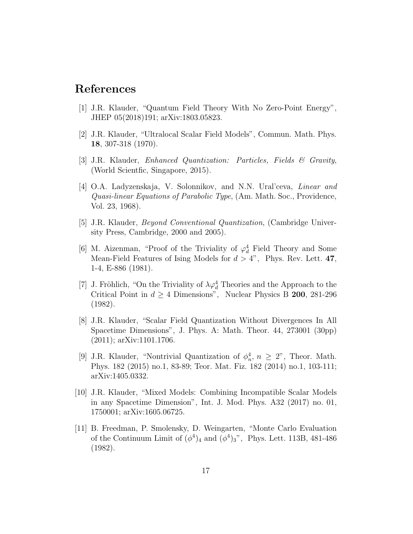## References

- [1] J.R. Klauder, "Quantum Field Theory With No Zero-Point Energy", JHEP 05(2018)191; arXiv:1803.05823.
- [2] J.R. Klauder, "Ultralocal Scalar Field Models", Commun. Math. Phys. 18, 307-318 (1970).
- [3] J.R. Klauder, Enhanced Quantization: Particles, Fields & Gravity, (World Scientfic, Singapore, 2015).
- [4] O.A. Ladyzenskaja, V. Solonnikov, and N.N. Ural'ceva, Linear and Quasi-linear Equations of Parabolic Type, (Am. Math. Soc., Providence, Vol. 23, 1968).
- [5] J.R. Klauder, Beyond Conventional Quantization, (Cambridge University Press, Cambridge, 2000 and 2005).
- [6] M. Aizenman, "Proof of the Triviality of  $\varphi_d^4$  Field Theory and Some Mean-Field Features of Ising Models for  $d > 4$ ", Phys. Rev. Lett. 47, 1-4, E-886 (1981).
- [7] J. Fröhlich, "On the Triviality of  $\lambda \varphi_d^4$  Theories and the Approach to the Critical Point in  $d \geq 4$  Dimensions", Nuclear Physics B 200, 281-296 (1982).
- [8] J.R. Klauder, "Scalar Field Quantization Without Divergences In All Spacetime Dimensions", J. Phys. A: Math. Theor. 44, 273001 (30pp) (2011); arXiv:1101.1706.
- [9] J.R. Klauder, "Nontrivial Quantization of  $\phi_n^4$ ,  $n \geq 2$ ", Theor. Math. Phys. 182 (2015) no.1, 83-89; Teor. Mat. Fiz. 182 (2014) no.1, 103-111; arXiv:1405.0332.
- [10] J.R. Klauder, "Mixed Models: Combining Incompatible Scalar Models in any Spacetime Dimension", Int. J. Mod. Phys. A32 (2017) no. 01, 1750001; arXiv:1605.06725.
- [11] B. Freedman, P. Smolensky, D. Weingarten, "Monte Carlo Evaluation of the Continuum Limit of  $(\phi^4)_4$  and  $(\phi^4)_3$ ", Phys. Lett. 113B, 481-486 (1982).